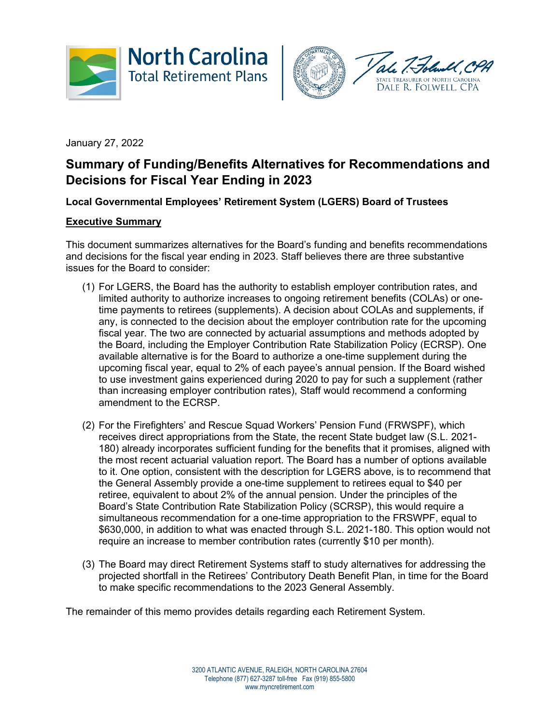



January 27, 2022

# **Summary of Funding/Benefits Alternatives for Recommendations and Decisions for Fiscal Year Ending in 2023**

**Local Governmental Employees' Retirement System (LGERS) Board of Trustees**

# **Executive Summary**

This document summarizes alternatives for the Board's funding and benefits recommendations and decisions for the fiscal year ending in 2023. Staff believes there are three substantive issues for the Board to consider:

- (1) For LGERS, the Board has the authority to establish employer contribution rates, and limited authority to authorize increases to ongoing retirement benefits (COLAs) or onetime payments to retirees (supplements). A decision about COLAs and supplements, if any, is connected to the decision about the employer contribution rate for the upcoming fiscal year. The two are connected by actuarial assumptions and methods adopted by the Board, including the Employer Contribution Rate Stabilization Policy (ECRSP). One available alternative is for the Board to authorize a one-time supplement during the upcoming fiscal year, equal to 2% of each payee's annual pension. If the Board wished to use investment gains experienced during 2020 to pay for such a supplement (rather than increasing employer contribution rates), Staff would recommend a conforming amendment to the ECRSP.
- (2) For the Firefighters' and Rescue Squad Workers' Pension Fund (FRWSPF), which receives direct appropriations from the State, the recent State budget law (S.L. 2021- 180) already incorporates sufficient funding for the benefits that it promises, aligned with the most recent actuarial valuation report. The Board has a number of options available to it. One option, consistent with the description for LGERS above, is to recommend that the General Assembly provide a one-time supplement to retirees equal to \$40 per retiree, equivalent to about 2% of the annual pension. Under the principles of the Board's State Contribution Rate Stabilization Policy (SCRSP), this would require a simultaneous recommendation for a one-time appropriation to the FRSWPF, equal to \$630,000, in addition to what was enacted through S.L. 2021-180. This option would not require an increase to member contribution rates (currently \$10 per month).
- (3) The Board may direct Retirement Systems staff to study alternatives for addressing the projected shortfall in the Retirees' Contributory Death Benefit Plan, in time for the Board to make specific recommendations to the 2023 General Assembly.

The remainder of this memo provides details regarding each Retirement System.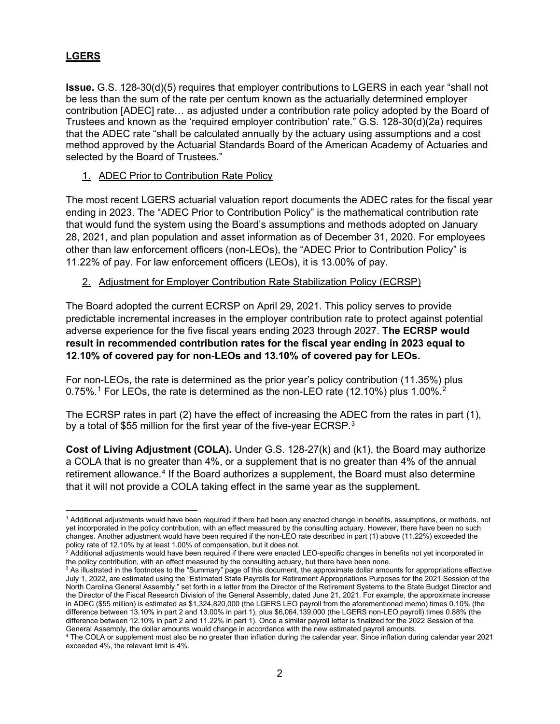# **LGERS**

**Issue.** G.S. 128-30(d)(5) requires that employer contributions to LGERS in each year "shall not be less than the sum of the rate per centum known as the actuarially determined employer contribution [ADEC] rate… as adjusted under a contribution rate policy adopted by the Board of Trustees and known as the 'required employer contribution' rate." G.S. 128-30(d)(2a) requires that the ADEC rate "shall be calculated annually by the actuary using assumptions and a cost method approved by the Actuarial Standards Board of the American Academy of Actuaries and selected by the Board of Trustees."

1. ADEC Prior to Contribution Rate Policy

The most recent LGERS actuarial valuation report documents the ADEC rates for the fiscal year ending in 2023. The "ADEC Prior to Contribution Policy" is the mathematical contribution rate that would fund the system using the Board's assumptions and methods adopted on January 28, 2021, and plan population and asset information as of December 31, 2020. For employees other than law enforcement officers (non-LEOs), the "ADEC Prior to Contribution Policy" is 11.22% of pay. For law enforcement officers (LEOs), it is 13.00% of pay.

# 2. Adjustment for Employer Contribution Rate Stabilization Policy (ECRSP)

The Board adopted the current ECRSP on April 29, 2021. This policy serves to provide predictable incremental increases in the employer contribution rate to protect against potential adverse experience for the five fiscal years ending 2023 through 2027. **The ECRSP would result in recommended contribution rates for the fiscal year ending in 2023 equal to 12.10% of covered pay for non-LEOs and 13.10% of covered pay for LEOs.**

For non-LEOs, the rate is determined as the prior year's policy contribution (11.35%) plus 0.75%.<sup>[1](#page-1-0)</sup> For LEOs, the rate is determined as the non-LEO rate (1[2](#page-1-1).10%) plus 1.00%.<sup>2</sup>

The ECRSP rates in part (2) have the effect of increasing the ADEC from the rates in part (1), by a total of \$55 million for the first year of the five-year ECRSP.<sup>[3](#page-1-2)</sup>

**Cost of Living Adjustment (COLA).** Under G.S. 128-27(k) and (k1), the Board may authorize a COLA that is no greater than 4%, or a supplement that is no greater than 4% of the annual retirement allowance.<sup>[4](#page-1-3)</sup> If the Board authorizes a supplement, the Board must also determine that it will not provide a COLA taking effect in the same year as the supplement.

<span id="page-1-0"></span><sup>1</sup> Additional adjustments would have been required if there had been any enacted change in benefits, assumptions, or methods, not yet incorporated in the policy contribution, with an effect measured by the consulting actuary. However, there have been no such changes. Another adjustment would have been required if the non-LEO rate described in part (1) above (11.22%) exceeded the policy rate of 12.10% by at least 1.00% of compensation, but it does not.

<span id="page-1-1"></span> $^2$  Additional adjustments would have been required if there were enacted LEO-specific changes in benefits not yet incorporated in the policy contribution, with an effect measured by the consulting actuary, but there have been none.

<span id="page-1-2"></span> $3$  As illustrated in the footnotes to the "Summary" page of this document, the approximate dollar amounts for appropriations effective July 1, 2022, are estimated using the "Estimated State Payrolls for Retirement Appropriations Purposes for the 2021 Session of the North Carolina General Assembly," set forth in a letter from the Director of the Retirement Systems to the State Budget Director and the Director of the Fiscal Research Division of the General Assembly, dated June 21, 2021. For example, the approximate increase in ADEC (\$55 million) is estimated as \$1,324,820,000 (the LGERS LEO payroll from the aforementioned memo) times 0.10% (the difference between 13.10% in part 2 and 13.00% in part 1), plus \$6,064,139,000 (the LGERS non-LEO payroll) times 0.88% (the difference between 12.10% in part 2 and 11.22% in part 1). Once a similar payroll letter is finalized for the 2022 Session of the General Assembly, the dollar amounts would change in accordance with the new estimated payroll amounts.

<span id="page-1-3"></span><sup>4</sup> The COLA or supplement must also be no greater than inflation during the calendar year. Since inflation during calendar year 2021 exceeded 4%, the relevant limit is 4%.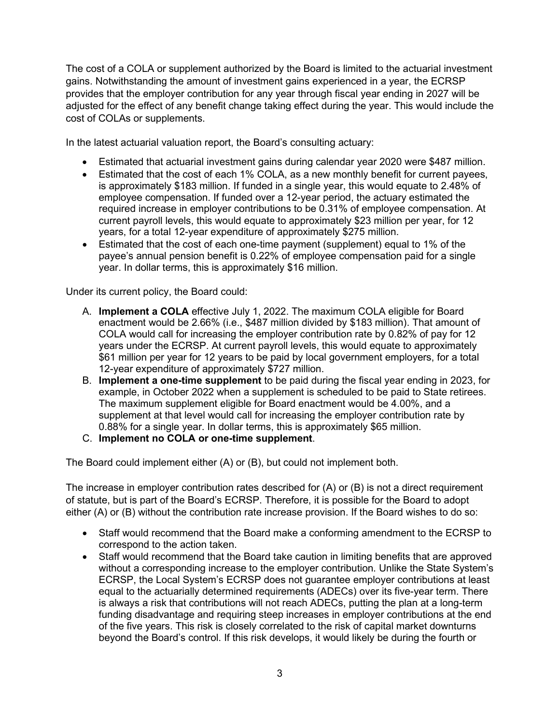The cost of a COLA or supplement authorized by the Board is limited to the actuarial investment gains. Notwithstanding the amount of investment gains experienced in a year, the ECRSP provides that the employer contribution for any year through fiscal year ending in 2027 will be adjusted for the effect of any benefit change taking effect during the year. This would include the cost of COLAs or supplements.

In the latest actuarial valuation report, the Board's consulting actuary:

- Estimated that actuarial investment gains during calendar year 2020 were \$487 million.
- Estimated that the cost of each 1% COLA, as a new monthly benefit for current payees, is approximately \$183 million. If funded in a single year, this would equate to 2.48% of employee compensation. If funded over a 12-year period, the actuary estimated the required increase in employer contributions to be 0.31% of employee compensation. At current payroll levels, this would equate to approximately \$23 million per year, for 12 years, for a total 12-year expenditure of approximately \$275 million.
- Estimated that the cost of each one-time payment (supplement) equal to 1% of the payee's annual pension benefit is 0.22% of employee compensation paid for a single year. In dollar terms, this is approximately \$16 million.

Under its current policy, the Board could:

- A. **Implement a COLA** effective July 1, 2022. The maximum COLA eligible for Board enactment would be 2.66% (i.e., \$487 million divided by \$183 million). That amount of COLA would call for increasing the employer contribution rate by 0.82% of pay for 12 years under the ECRSP. At current payroll levels, this would equate to approximately \$61 million per year for 12 years to be paid by local government employers, for a total 12-year expenditure of approximately \$727 million.
- B. **Implement a one-time supplement** to be paid during the fiscal year ending in 2023, for example, in October 2022 when a supplement is scheduled to be paid to State retirees. The maximum supplement eligible for Board enactment would be 4.00%, and a supplement at that level would call for increasing the employer contribution rate by 0.88% for a single year. In dollar terms, this is approximately \$65 million.
- C. **Implement no COLA or one-time supplement**.

The Board could implement either (A) or (B), but could not implement both.

The increase in employer contribution rates described for (A) or (B) is not a direct requirement of statute, but is part of the Board's ECRSP. Therefore, it is possible for the Board to adopt either (A) or (B) without the contribution rate increase provision. If the Board wishes to do so:

- Staff would recommend that the Board make a conforming amendment to the ECRSP to correspond to the action taken.
- Staff would recommend that the Board take caution in limiting benefits that are approved without a corresponding increase to the employer contribution. Unlike the State System's ECRSP, the Local System's ECRSP does not guarantee employer contributions at least equal to the actuarially determined requirements (ADECs) over its five-year term. There is always a risk that contributions will not reach ADECs, putting the plan at a long-term funding disadvantage and requiring steep increases in employer contributions at the end of the five years. This risk is closely correlated to the risk of capital market downturns beyond the Board's control. If this risk develops, it would likely be during the fourth or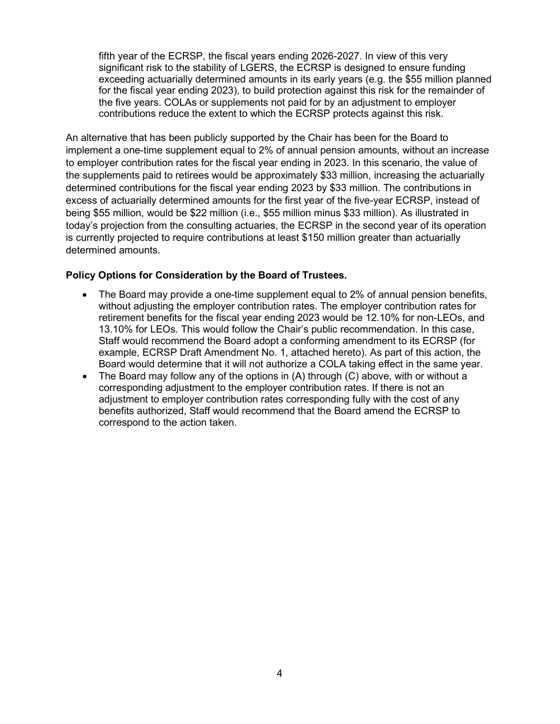fifth year of the ECRSP, the fiscal years ending 2026-2027. In view of this very significant risk to the stability of LGERS, the ECRSP is designed to ensure funding exceeding actuarially determined amounts in its early years (e.g. the \$55 million planned for the fiscal year ending 2023), to build protection against this risk for the remainder of the five years. COLAs or supplements not paid for by an adjustment to employer contributions reduce the extent to which the ECRSP protects against this risk.

An alternative that has been publicly supported by the Chair has been for the Board to implement a one-time supplement equal to 2% of annual pension amounts, without an increase to employer contribution rates for the fiscal year ending in 2023. In this scenario, the value of the supplements paid to retirees would be approximately \$33 million, increasing the actuarially determined contributions for the fiscal year ending 2023 by \$33 million. The contributions in excess of actuarially determined amounts for the first year of the five-year ECRSP, instead of being \$55 million, would be \$22 million (i.e., \$55 million minus \$33 million). As illustrated in today's projection from the consulting actuaries, the ECRSP in the second year of its operation is currently projected to require contributions at least \$150 million greater than actuarially determined amounts.

#### **Policy Options for Consideration by the Board of Trustees.**

- The Board may provide a one-time supplement equal to 2% of annual pension benefits, without adjusting the employer contribution rates. The employer contribution rates for retirement benefits for the fiscal year ending 2023 would be 12.10% for non-LEOs, and 13.10% for LEOs. This would follow the Chair's public recommendation. In this case, Staff would recommend the Board adopt a conforming amendment to its ECRSP (for example, ECRSP Draft Amendment No. 1, attached hereto). As part of this action, the Board would determine that it will not authorize a COLA taking effect in the same year.
- The Board may follow any of the options in  $(A)$  through  $(C)$  above, with or without a corresponding adjustment to the employer contribution rates. If there is not an adjustment to employer contribution rates corresponding fully with the cost of any benefits authorized, Staff would recommend that the Board amend the ECRSP to correspond to the action taken.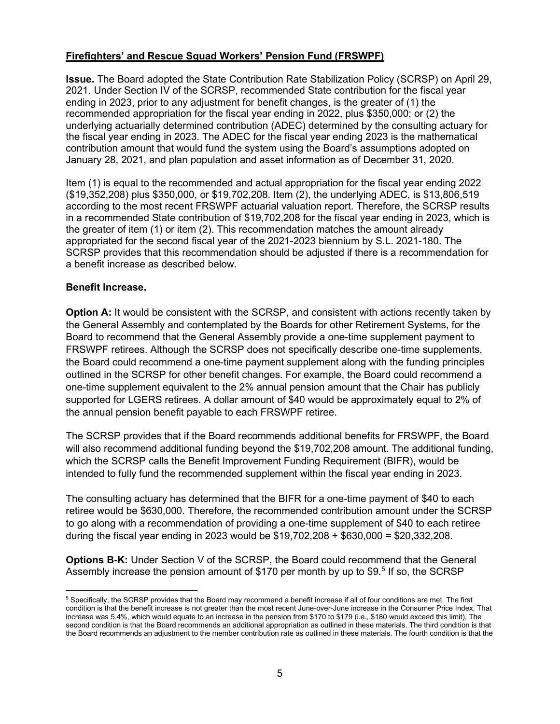# **Firefighters' and Rescue Squad Workers' Pension Fund (FRSWPF)**

**Issue.** The Board adopted the State Contribution Rate Stabilization Policy (SCRSP) on April 29, 2021. Under Section IV of the SCRSP, recommended State contribution for the fiscal year ending in 2023, prior to any adjustment for benefit changes, is the greater of (1) the recommended appropriation for the fiscal year ending in 2022, plus \$350,000; or (2) the underlying actuarially determined contribution (ADEC) determined by the consulting actuary for the fiscal year ending in 2023. The ADEC for the fiscal year ending 2023 is the mathematical contribution amount that would fund the system using the Board's assumptions adopted on January 28, 2021, and plan population and asset information as of December 31, 2020.

Item (1) is equal to the recommended and actual appropriation for the fiscal year ending 2022 (\$19,352,208) plus \$350,000, or \$19,702,208. Item (2), the underlying ADEC, is \$13,806,519 according to the most recent FRSWPF actuarial valuation report. Therefore, the SCRSP results in a recommended State contribution of \$19,702,208 for the fiscal year ending in 2023, which is the greater of item (1) or item (2). This recommendation matches the amount already appropriated for the second fiscal year of the 2021-2023 biennium by S.L. 2021-180. The SCRSP provides that this recommendation should be adjusted if there is a recommendation for a benefit increase as described below.

#### **Benefit Increase.**

**Option A:** It would be consistent with the SCRSP, and consistent with actions recently taken by the General Assembly and contemplated by the Boards for other Retirement Systems, for the Board to recommend that the General Assembly provide a one-time supplement payment to FRSWPF retirees. Although the SCRSP does not specifically describe one-time supplements, the Board could recommend a one-time payment supplement along with the funding principles outlined in the SCRSP for other benefit changes. For example, the Board could recommend a one-time supplement equivalent to the 2% annual pension amount that the Chair has publicly supported for LGERS retirees. A dollar amount of \$40 would be approximately equal to 2% of the annual pension benefit payable to each FRSWPF retiree.

The SCRSP provides that if the Board recommends additional benefits for FRSWPF, the Board will also recommend additional funding beyond the \$19,702,208 amount. The additional funding, which the SCRSP calls the Benefit Improvement Funding Requirement (BIFR), would be intended to fully fund the recommended supplement within the fiscal year ending in 2023.

The consulting actuary has determined that the BIFR for a one-time payment of \$40 to each retiree would be \$630,000. Therefore, the recommended contribution amount under the SCRSP to go along with a recommendation of providing a one-time supplement of \$40 to each retiree during the fiscal year ending in 2023 would be \$19,702,208 + \$630,000 = \$20,332,208.

**Options B-K:** Under Section V of the SCRSP, the Board could recommend that the General Assembly increase the pension amount of \$170 per month by up to \$9. [5](#page-4-0) If so, the SCRSP

<span id="page-4-0"></span><sup>5</sup> Specifically, the SCRSP provides that the Board may recommend a benefit increase if all of four conditions are met. The first condition is that the benefit increase is not greater than the most recent June-over-June increase in the Consumer Price Index. That increase was 5.4%, which would equate to an increase in the pension from \$170 to \$179 (i.e., \$180 would exceed this limit). The second condition is that the Board recommends an additional appropriation as outlined in these materials. The third condition is that the Board recommends an adjustment to the member contribution rate as outlined in these materials. The fourth condition is that the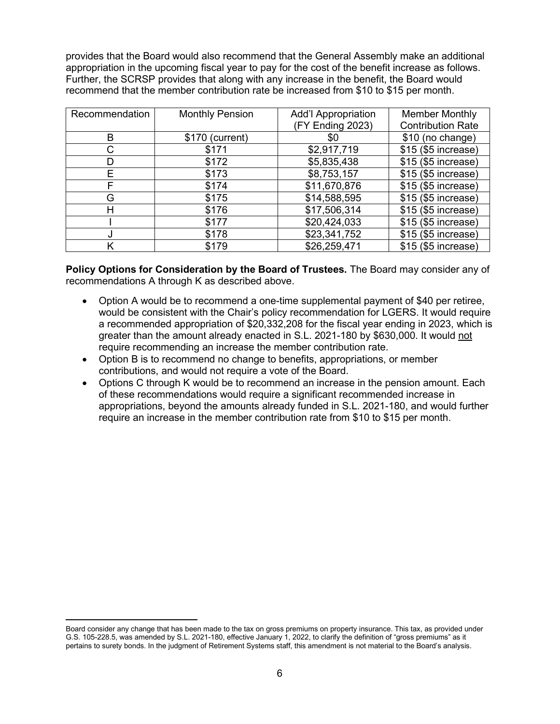provides that the Board would also recommend that the General Assembly make an additional appropriation in the upcoming fiscal year to pay for the cost of the benefit increase as follows. Further, the SCRSP provides that along with any increase in the benefit, the Board would recommend that the member contribution rate be increased from \$10 to \$15 per month.

| Recommendation | <b>Monthly Pension</b> | <b>Add'I Appropriation</b> | <b>Member Monthly</b>    |
|----------------|------------------------|----------------------------|--------------------------|
|                |                        | (FY Ending 2023)           | <b>Contribution Rate</b> |
| B              | \$170 (current)        | \$0                        | \$10 (no change)         |
| С              | \$171                  | \$2,917,719                | \$15 (\$5 increase)      |
| D              | \$172                  | \$5,835,438                | \$15 (\$5 increase)      |
| Е              | \$173                  | \$8,753,157                | \$15 (\$5 increase)      |
| F              | \$174                  | \$11,670,876               | \$15 (\$5 increase)      |
| G              | \$175                  | \$14,588,595               | \$15 (\$5 increase)      |
| н              | \$176                  | \$17,506,314               | \$15 (\$5 increase)      |
|                | \$177                  | \$20,424,033               | \$15 (\$5 increase)      |
|                | \$178                  | \$23,341,752               | \$15 (\$5 increase)      |
|                | \$179                  | \$26,259,471               | \$15 (\$5 increase)      |

**Policy Options for Consideration by the Board of Trustees.** The Board may consider any of recommendations A through K as described above.

- Option A would be to recommend a one-time supplemental payment of \$40 per retiree, would be consistent with the Chair's policy recommendation for LGERS. It would require a recommended appropriation of \$20,332,208 for the fiscal year ending in 2023, which is greater than the amount already enacted in S.L. 2021-180 by \$630,000. It would not require recommending an increase the member contribution rate.
- Option B is to recommend no change to benefits, appropriations, or member contributions, and would not require a vote of the Board.
- Options C through K would be to recommend an increase in the pension amount. Each of these recommendations would require a significant recommended increase in appropriations, beyond the amounts already funded in S.L. 2021-180, and would further require an increase in the member contribution rate from \$10 to \$15 per month.

Board consider any change that has been made to the tax on gross premiums on property insurance. This tax, as provided under G.S. 105-228.5, was amended by S.L. 2021-180, effective January 1, 2022, to clarify the definition of "gross premiums" as it pertains to surety bonds. In the judgment of Retirement Systems staff, this amendment is not material to the Board's analysis.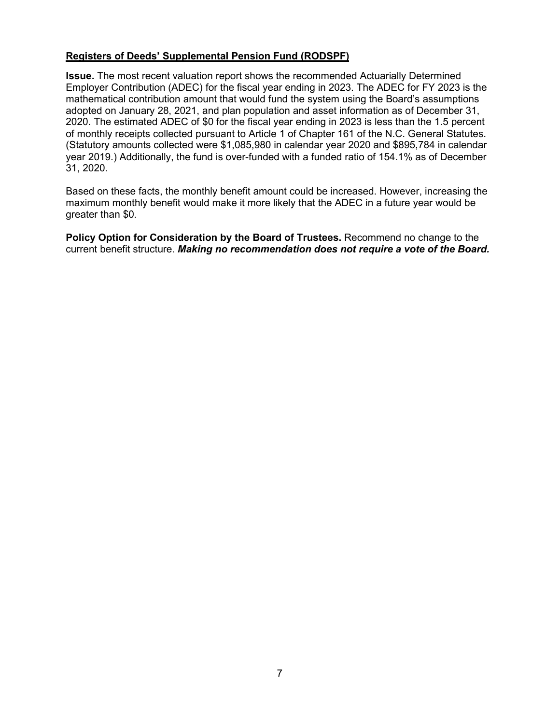#### **Registers of Deeds' Supplemental Pension Fund (RODSPF)**

**Issue.** The most recent valuation report shows the recommended Actuarially Determined Employer Contribution (ADEC) for the fiscal year ending in 2023. The ADEC for FY 2023 is the mathematical contribution amount that would fund the system using the Board's assumptions adopted on January 28, 2021, and plan population and asset information as of December 31, 2020. The estimated ADEC of \$0 for the fiscal year ending in 2023 is less than the 1.5 percent of monthly receipts collected pursuant to Article 1 of Chapter 161 of the N.C. General Statutes. (Statutory amounts collected were \$1,085,980 in calendar year 2020 and \$895,784 in calendar year 2019.) Additionally, the fund is over-funded with a funded ratio of 154.1% as of December 31, 2020.

Based on these facts, the monthly benefit amount could be increased. However, increasing the maximum monthly benefit would make it more likely that the ADEC in a future year would be greater than \$0.

**Policy Option for Consideration by the Board of Trustees.** Recommend no change to the current benefit structure. *Making no recommendation does not require a vote of the Board.*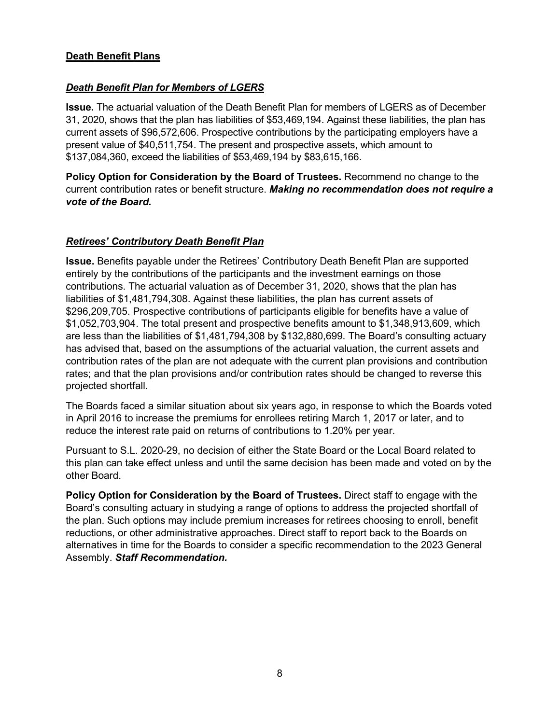# **Death Benefit Plans**

# *Death Benefit Plan for Members of LGERS*

**Issue.** The actuarial valuation of the Death Benefit Plan for members of LGERS as of December 31, 2020, shows that the plan has liabilities of \$53,469,194. Against these liabilities, the plan has current assets of \$96,572,606. Prospective contributions by the participating employers have a present value of \$40,511,754. The present and prospective assets, which amount to \$137,084,360, exceed the liabilities of \$53,469,194 by \$83,615,166.

**Policy Option for Consideration by the Board of Trustees.** Recommend no change to the current contribution rates or benefit structure. *Making no recommendation does not require a vote of the Board.*

#### *Retirees' Contributory Death Benefit Plan*

**Issue.** Benefits payable under the Retirees' Contributory Death Benefit Plan are supported entirely by the contributions of the participants and the investment earnings on those contributions. The actuarial valuation as of December 31, 2020, shows that the plan has liabilities of \$1,481,794,308. Against these liabilities, the plan has current assets of \$296,209,705. Prospective contributions of participants eligible for benefits have a value of \$1,052,703,904. The total present and prospective benefits amount to \$1,348,913,609, which are less than the liabilities of \$1,481,794,308 by \$132,880,699. The Board's consulting actuary has advised that, based on the assumptions of the actuarial valuation, the current assets and contribution rates of the plan are not adequate with the current plan provisions and contribution rates; and that the plan provisions and/or contribution rates should be changed to reverse this projected shortfall.

The Boards faced a similar situation about six years ago, in response to which the Boards voted in April 2016 to increase the premiums for enrollees retiring March 1, 2017 or later, and to reduce the interest rate paid on returns of contributions to 1.20% per year.

Pursuant to S.L. 2020-29, no decision of either the State Board or the Local Board related to this plan can take effect unless and until the same decision has been made and voted on by the other Board.

**Policy Option for Consideration by the Board of Trustees.** Direct staff to engage with the Board's consulting actuary in studying a range of options to address the projected shortfall of the plan. Such options may include premium increases for retirees choosing to enroll, benefit reductions, or other administrative approaches. Direct staff to report back to the Boards on alternatives in time for the Boards to consider a specific recommendation to the 2023 General Assembly. *Staff Recommendation.*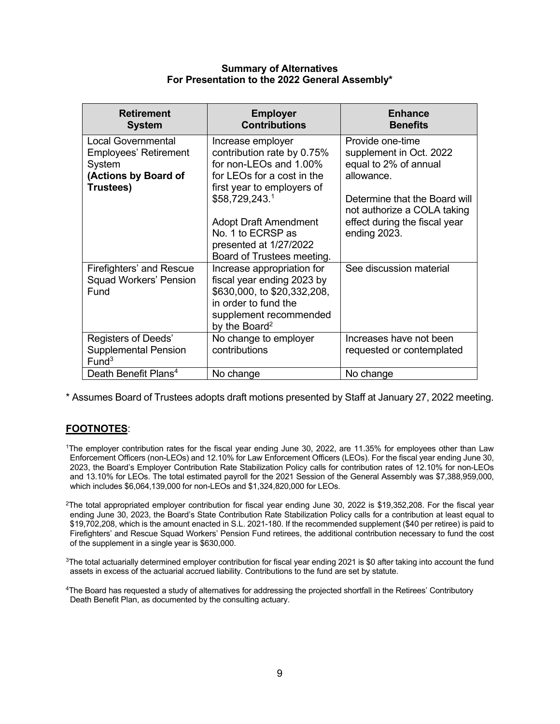#### **Summary of Alternatives For Presentation to the 2022 General Assembly\***

| <b>Retirement</b><br><b>System</b>                                                                       | <b>Employer</b><br><b>Contributions</b>                                                                                                                                | <b>Enhance</b><br><b>Benefits</b>                                                                                                                  |
|----------------------------------------------------------------------------------------------------------|------------------------------------------------------------------------------------------------------------------------------------------------------------------------|----------------------------------------------------------------------------------------------------------------------------------------------------|
| <b>Local Governmental</b><br><b>Employees' Retirement</b><br>System<br>(Actions by Board of<br>Trustees) | Increase employer<br>contribution rate by 0.75%<br>for non-LEOs and 1.00%<br>for LEOs for a cost in the<br>first year to employers of<br>\$58,729,243.1                | Provide one-time<br>supplement in Oct. 2022<br>equal to 2% of annual<br>allowance.<br>Determine that the Board will<br>not authorize a COLA taking |
|                                                                                                          | <b>Adopt Draft Amendment</b><br>No. 1 to ECRSP as<br>presented at 1/27/2022<br>Board of Trustees meeting.                                                              | effect during the fiscal year<br>ending 2023.                                                                                                      |
| Firefighters' and Rescue<br><b>Squad Workers' Pension</b><br>Fund                                        | Increase appropriation for<br>fiscal year ending 2023 by<br>\$630,000, to \$20,332,208,<br>in order to fund the<br>supplement recommended<br>by the Board <sup>2</sup> | See discussion material                                                                                                                            |
| Registers of Deeds'<br><b>Supplemental Pension</b><br>Fund <sup>3</sup>                                  | No change to employer<br>contributions                                                                                                                                 | Increases have not been<br>requested or contemplated                                                                                               |
| Death Benefit Plans <sup>4</sup>                                                                         | No change                                                                                                                                                              | No change                                                                                                                                          |

\* Assumes Board of Trustees adopts draft motions presented by Staff at January 27, 2022 meeting.

# **FOOTNOTES**:

- 1The employer contribution rates for the fiscal year ending June 30, 2022, are 11.35% for employees other than Law Enforcement Officers (non-LEOs) and 12.10% for Law Enforcement Officers (LEOs). For the fiscal year ending June 30, 2023, the Board's Employer Contribution Rate Stabilization Policy calls for contribution rates of 12.10% for non-LEOs and 13.10% for LEOs. The total estimated payroll for the 2021 Session of the General Assembly was \$7,388,959,000, which includes \$6,064,139,000 for non-LEOs and \$1,324,820,000 for LEOs.
- $2$ The total appropriated employer contribution for fiscal year ending June 30, 2022 is \$19,352,208. For the fiscal year ending June 30, 2023, the Board's State Contribution Rate Stabilization Policy calls for a contribution at least equal to \$19,702,208, which is the amount enacted in S.L. 2021-180. If the recommended supplement (\$40 per retiree) is paid to Firefighters' and Rescue Squad Workers' Pension Fund retirees, the additional contribution necessary to fund the cost of the supplement in a single year is \$630,000.
- <sup>3</sup>The total actuarially determined employer contribution for fiscal year ending 2021 is \$0 after taking into account the fund assets in excess of the actuarial accrued liability. Contributions to the fund are set by statute.
- 4The Board has requested a study of alternatives for addressing the projected shortfall in the Retirees' Contributory Death Benefit Plan, as documented by the consulting actuary.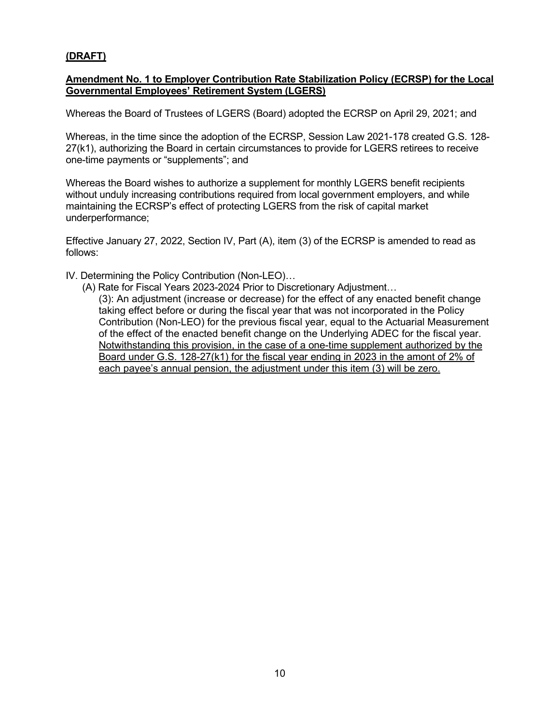#### **(DRAFT)**

#### **Amendment No. 1 to Employer Contribution Rate Stabilization Policy (ECRSP) for the Local Governmental Employees' Retirement System (LGERS)**

Whereas the Board of Trustees of LGERS (Board) adopted the ECRSP on April 29, 2021; and

Whereas, in the time since the adoption of the ECRSP, Session Law 2021-178 created G.S. 128- 27(k1), authorizing the Board in certain circumstances to provide for LGERS retirees to receive one-time payments or "supplements"; and

Whereas the Board wishes to authorize a supplement for monthly LGERS benefit recipients without unduly increasing contributions required from local government employers, and while maintaining the ECRSP's effect of protecting LGERS from the risk of capital market underperformance;

Effective January 27, 2022, Section IV, Part (A), item (3) of the ECRSP is amended to read as follows:

IV. Determining the Policy Contribution (Non-LEO)…

(A) Rate for Fiscal Years 2023-2024 Prior to Discretionary Adjustment…

(3): An adjustment (increase or decrease) for the effect of any enacted benefit change taking effect before or during the fiscal year that was not incorporated in the Policy Contribution (Non-LEO) for the previous fiscal year, equal to the Actuarial Measurement of the effect of the enacted benefit change on the Underlying ADEC for the fiscal year. Notwithstanding this provision, in the case of a one-time supplement authorized by the Board under G.S. 128-27(k1) for the fiscal year ending in 2023 in the amont of 2% of each payee's annual pension, the adjustment under this item (3) will be zero.